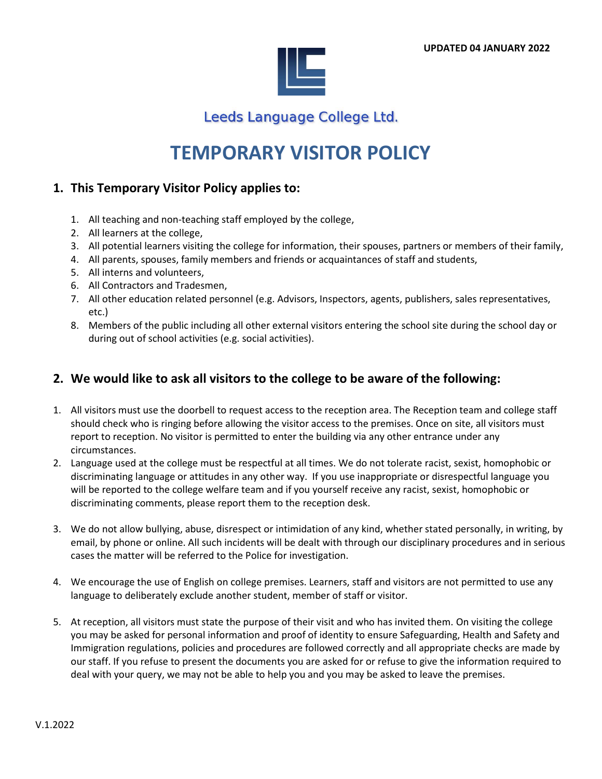

## Leeds Language College Ltd.

# **TEMPORARY VISITOR POLICY**

#### **1. This Temporary Visitor Policy applies to:**

- 1. All teaching and non-teaching staff employed by the college,
- 2. All learners at the college,
- 3. All potential learners visiting the college for information, their spouses, partners or members of their family,
- 4. All parents, spouses, family members and friends or acquaintances of staff and students,
- 5. All interns and volunteers,
- 6. All Contractors and Tradesmen,
- 7. All other education related personnel (e.g. Advisors, Inspectors, agents, publishers, sales representatives, etc.)
- 8. Members of the public including all other external visitors entering the school site during the school day or during out of school activities (e.g. social activities).

#### **2. We would like to ask all visitors to the college to be aware of the following:**

- 1. All visitors must use the doorbell to request access to the reception area. The Reception team and college staff should check who is ringing before allowing the visitor access to the premises. Once on site, all visitors must report to reception. No visitor is permitted to enter the building via any other entrance under any circumstances.
- 2. Language used at the college must be respectful at all times. We do not tolerate racist, sexist, homophobic or discriminating language or attitudes in any other way. If you use inappropriate or disrespectful language you will be reported to the college welfare team and if you yourself receive any racist, sexist, homophobic or discriminating comments, please report them to the reception desk.
- 3. We do not allow bullying, abuse, disrespect or intimidation of any kind, whether stated personally, in writing, by email, by phone or online. All such incidents will be dealt with through our disciplinary procedures and in serious cases the matter will be referred to the Police for investigation.
- 4. We encourage the use of English on college premises. Learners, staff and visitors are not permitted to use any language to deliberately exclude another student, member of staff or visitor.
- 5. At reception, all visitors must state the purpose of their visit and who has invited them. On visiting the college you may be asked for personal information and proof of identity to ensure Safeguarding, Health and Safety and Immigration regulations, policies and procedures are followed correctly and all appropriate checks are made by our staff. If you refuse to present the documents you are asked for or refuse to give the information required to deal with your query, we may not be able to help you and you may be asked to leave the premises.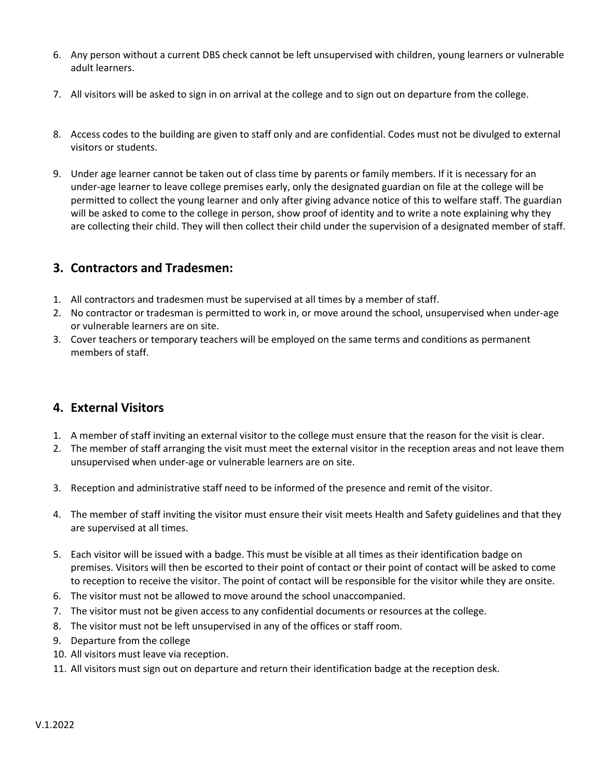- 6. Any person without a current DBS check cannot be left unsupervised with children, young learners or vulnerable adult learners.
- 7. All visitors will be asked to sign in on arrival at the college and to sign out on departure from the college.
- 8. Access codes to the building are given to staff only and are confidential. Codes must not be divulged to external visitors or students.
- 9. Under age learner cannot be taken out of class time by parents or family members. If it is necessary for an under-age learner to leave college premises early, only the designated guardian on file at the college will be permitted to collect the young learner and only after giving advance notice of this to welfare staff. The guardian will be asked to come to the college in person, show proof of identity and to write a note explaining why they are collecting their child. They will then collect their child under the supervision of a designated member of staff.

#### **3. Contractors and Tradesmen:**

- 1. All contractors and tradesmen must be supervised at all times by a member of staff.
- 2. No contractor or tradesman is permitted to work in, or move around the school, unsupervised when under-age or vulnerable learners are on site.
- 3. Cover teachers or temporary teachers will be employed on the same terms and conditions as permanent members of staff.

#### **4. External Visitors**

- 1. A member of staff inviting an external visitor to the college must ensure that the reason for the visit is clear.
- 2. The member of staff arranging the visit must meet the external visitor in the reception areas and not leave them unsupervised when under-age or vulnerable learners are on site.
- 3. Reception and administrative staff need to be informed of the presence and remit of the visitor.
- 4. The member of staff inviting the visitor must ensure their visit meets Health and Safety guidelines and that they are supervised at all times.
- 5. Each visitor will be issued with a badge. This must be visible at all times as their identification badge on premises. Visitors will then be escorted to their point of contact or their point of contact will be asked to come to reception to receive the visitor. The point of contact will be responsible for the visitor while they are onsite.
- 6. The visitor must not be allowed to move around the school unaccompanied.
- 7. The visitor must not be given access to any confidential documents or resources at the college.
- 8. The visitor must not be left unsupervised in any of the offices or staff room.
- 9. Departure from the college
- 10. All visitors must leave via reception.
- 11. All visitors must sign out on departure and return their identification badge at the reception desk.